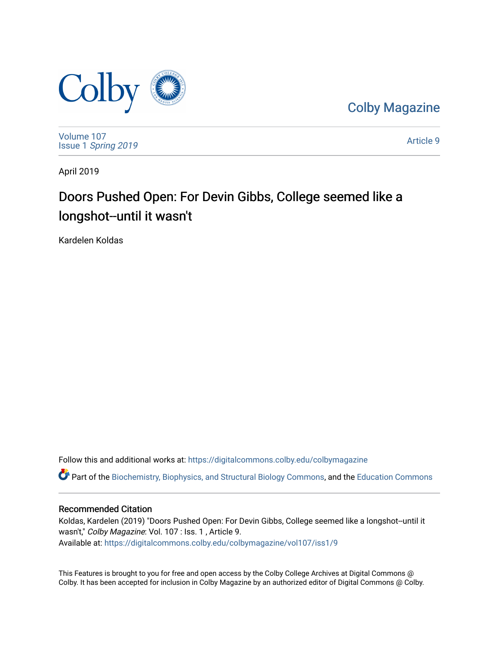

[Colby Magazine](https://digitalcommons.colby.edu/colbymagazine) 

[Volume 107](https://digitalcommons.colby.edu/colbymagazine/vol107) Issue 1 [Spring 2019](https://digitalcommons.colby.edu/colbymagazine/vol107/iss1) 

[Article 9](https://digitalcommons.colby.edu/colbymagazine/vol107/iss1/9) 

April 2019

## Doors Pushed Open: For Devin Gibbs, College seemed like a longshot--until it wasn't

Kardelen Koldas

Follow this and additional works at: [https://digitalcommons.colby.edu/colbymagazine](https://digitalcommons.colby.edu/colbymagazine?utm_source=digitalcommons.colby.edu%2Fcolbymagazine%2Fvol107%2Fiss1%2F9&utm_medium=PDF&utm_campaign=PDFCoverPages)

Part of the [Biochemistry, Biophysics, and Structural Biology Commons](http://network.bepress.com/hgg/discipline/1?utm_source=digitalcommons.colby.edu%2Fcolbymagazine%2Fvol107%2Fiss1%2F9&utm_medium=PDF&utm_campaign=PDFCoverPages), and the [Education Commons](http://network.bepress.com/hgg/discipline/784?utm_source=digitalcommons.colby.edu%2Fcolbymagazine%2Fvol107%2Fiss1%2F9&utm_medium=PDF&utm_campaign=PDFCoverPages)

### Recommended Citation

Koldas, Kardelen (2019) "Doors Pushed Open: For Devin Gibbs, College seemed like a longshot--until it wasn't," Colby Magazine: Vol. 107 : Iss. 1 , Article 9. Available at: [https://digitalcommons.colby.edu/colbymagazine/vol107/iss1/9](https://digitalcommons.colby.edu/colbymagazine/vol107/iss1/9?utm_source=digitalcommons.colby.edu%2Fcolbymagazine%2Fvol107%2Fiss1%2F9&utm_medium=PDF&utm_campaign=PDFCoverPages) 

This Features is brought to you for free and open access by the Colby College Archives at Digital Commons @ Colby. It has been accepted for inclusion in Colby Magazine by an authorized editor of Digital Commons @ Colby.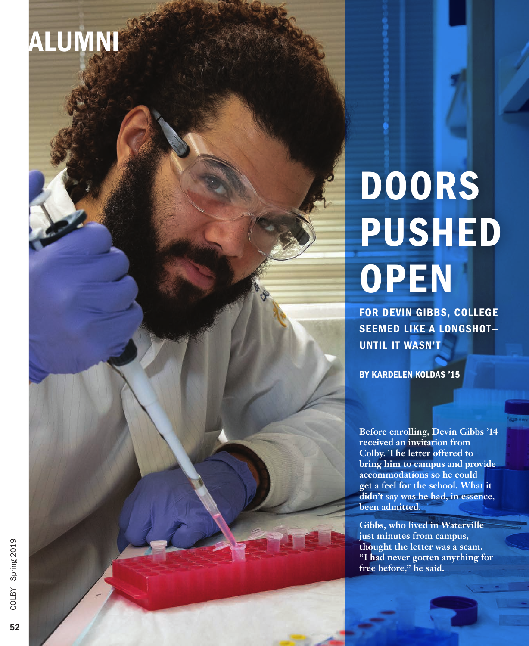# ALUMNI

# DOORS PUSHED **OPEN**

FOR DEVIN GIBBS, COLLEGE SEEMED LIKE A LONGSHOT— UNTIL IT WASN'T

BY KARDELEN KOLDAS '15

**Before enrolling, Devin Gibbs '14 received an invitation from Colby. The letter offered to bring him to campus and provide accommodations so he could get a feel for the school. What it didn't say was he had, in essence, been admitted.** 

**Gibbs, who lived in Waterville just minutes from campus, thought the letter was a scam. "I had never gotten anything for free before," he said.**